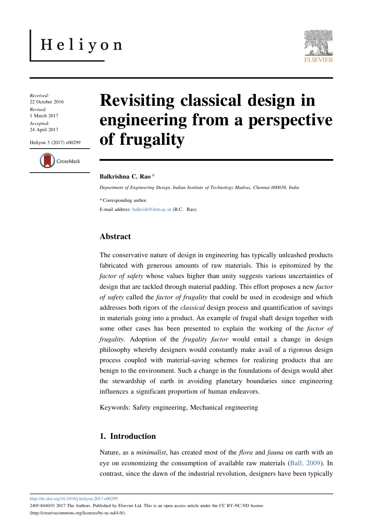# Heliyon



Received: 22 October 2016 Revised: 1 March 2017 Accepted: 24 April 2017

Heliyon 3 (2017) e00299



## Revisiting classical design in engineering from a perspective of frugality

#### Balkrishna C. Rao \*

Department of Engineering Design, Indian Institute of Technology Madras, Chennai 600036, India

\* Corresponding author. E-mail address: [balkrish@iitm.ac.in](mailto:balkrish@iitm.ac.in) (B.C. Rao).

## Abstract

The conservative nature of design in engineering has typically unleashed products fabricated with generous amounts of raw materials. This is epitomized by the factor of safety whose values higher than unity suggests various uncertainties of design that are tackled through material padding. This effort proposes a new factor of safety called the factor of frugality that could be used in ecodesign and which addresses both rigors of the classical design process and quantification of savings in materials going into a product. An example of frugal shaft design together with some other cases has been presented to explain the working of the *factor of* frugality. Adoption of the frugality factor would entail a change in design philosophy whereby designers would constantly make avail of a rigorous design process coupled with material-saving schemes for realizing products that are benign to the environment. Such a change in the foundations of design would abet the stewardship of earth in avoiding planetary boundaries since engineering influences a significant proportion of human endeavors.

Keywords: Safety engineering, Mechanical engineering

#### 1. Introduction

Nature, as a *minimalist*, has created most of the *flora* and *fauna* on earth with an eye on economizing the consumption of available raw materials ([Ball, 2009](#page-15-0)). In contrast, since the dawn of the industrial revolution, designers have been typically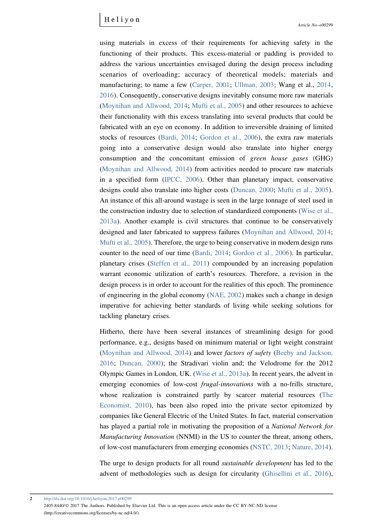using materials in excess of their requirements for achieving safety in the functioning of their products. This excess-material or padding is provided to address the various uncertainties envisaged during the design process including scenarios of overloading; accuracy of theoretical models; materials and manufacturing; to name a few [\(Carper, 2001;](#page-16-0) [Ullman, 2003](#page-17-0); Wang et al., [2014,](#page-18-0) [2016\)](#page-18-0). Consequently, conservative designs inevitably consume more raw materials [\(Moynihan and Allwood, 2014](#page-16-0); [Mufti et al., 2005](#page-17-0)) and other resources to achieve their functionality with this excess translating into several products that could be fabricated with an eye on economy. In addition to irreversible draining of limited stocks of resources [\(Bardi, 2014](#page-15-0); [Gordon et al., 2006](#page-16-0)), the extra raw materials going into a conservative design would also translate into higher energy consumption and the concomitant emission of green house gases (GHG) [\(Moynihan and Allwood, 2014](#page-16-0)) from activities needed to procure raw materials in a specified form ([IPCC, 2006](#page-16-0)). Other than planetary impact, conservative designs could also translate into higher costs ([Duncan, 2000;](#page-16-0) [Mufti et al., 2005](#page-17-0)). An instance of this all-around wastage is seen in the large tonnage of steel used in the construction industry due to selection of standardized components [\(Wise et al.,](#page-18-0) [2013a](#page-18-0)). Another example is civil structures that continue to be conservatively designed and later fabricated to suppress failures ([Moynihan and Allwood, 2014](#page-16-0); [Mufti et al., 2005](#page-17-0)). Therefore, the urge to being conservative in modern design runs counter to the need of our time ([Bardi, 2014](#page-15-0); [Gordon et al., 2006](#page-16-0)). In particular, planetary crises [\(Steffen et al., 2011](#page-17-0)) compounded by an increasing population warrant economic utilization of earth's resources. Therefore, a revision in the design process is in order to account for the realities of this epoch. The prominence of engineering in the global economy ([NAE, 2002\)](#page-17-0) makes such a change in design imperative for achieving better standards of living while seeking solutions for tackling planetary crises.

Hitherto, there have been several instances of streamlining design for good performance, e.g., designs based on minimum material or light weight constraint [\(Moynihan and Allwood, 2014](#page-16-0)) and lower factors of safety ([Beeby and Jackson,](#page-15-0) [2016;](#page-15-0) [Duncan, 2000](#page-16-0)); the Stradivari violin and; the Velodrome for the 2012 Olympic Games in London, UK. [\(Wise et al., 2013a](#page-18-0)). In recent years, the advent in emerging economies of low-cost *frugal-innovations* with a no-frills structure, whose realization is constrained partly by scarcer material resources ([The](#page-17-0) [Economist, 2010](#page-17-0)), has been also roped into the private sector epitomized by companies like General Electric of the United States. In fact, material conservation has played a partial role in motivating the proposition of a National Network for Manufacturing Innovation (NNMI) in the US to counter the threat, among others, of low-cost manufacturers from emerging economies [\(NSTC, 2013;](#page-17-0) [Nature, 2014](#page-17-0)).

The urge to design products for all round sustainable development has led to the advent of methodologies such as design for circularity [\(Ghisellini et al., 2016](#page-16-0)),

<sup>2405-8440/© 2017</sup> The Authors. Published by Elsevier Ltd. This is an open access article under the CC BY-NC-ND license (http://creativecommons.org/licenses/by-nc-nd/4.0/).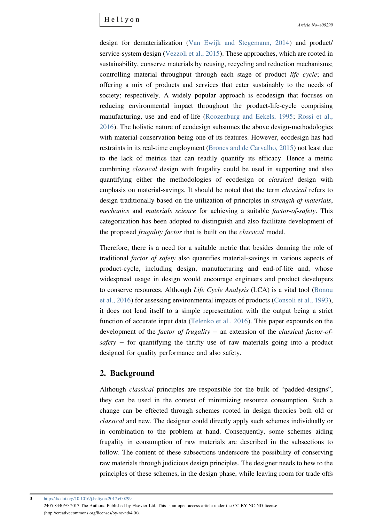<span id="page-2-0"></span>design for dematerialization [\(Van Ewijk and Stegemann, 2014](#page-18-0)) and product/ service-system design ([Vezzoli et al., 2015](#page-18-0)). These approaches, which are rooted in sustainability, conserve materials by reusing, recycling and reduction mechanisms; controlling material throughput through each stage of product *life cycle*; and offering a mix of products and services that cater sustainably to the needs of society; respectively. A widely popular approach is ecodesign that focuses on reducing environmental impact throughout the product-life-cycle comprising manufacturing, use and end-of-life [\(Roozenburg and Eekels, 1995;](#page-17-0) [Rossi et al.,](#page-17-0) [2016\)](#page-17-0). The holistic nature of ecodesign subsumes the above design-methodologies with material-conservation being one of its features. However, ecodesign has had restraints in its real-time employment ([Brones and de Carvalho, 2015](#page-16-0)) not least due to the lack of metrics that can readily quantify its efficacy. Hence a metric combining classical design with frugality could be used in supporting and also quantifying either the methodologies of ecodesign or *classical* design with emphasis on material-savings. It should be noted that the term *classical* refers to design traditionally based on the utilization of principles in *strength-of-materials*, mechanics and materials science for achieving a suitable factor-of-safety. This categorization has been adopted to distinguish and also facilitate development of the proposed frugality factor that is built on the classical model.

Therefore, there is a need for a suitable metric that besides donning the role of traditional factor of safety also quantifies material-savings in various aspects of product-cycle, including design, manufacturing and end-of-life and, whose widespread usage in design would encourage engineers and product developers to conserve resources. Although Life Cycle Analysis (LCA) is a vital tool ([Bonou](#page-15-0) [et al., 2016](#page-15-0)) for assessing environmental impacts of products ([Consoli et al., 1993](#page-16-0)), it does not lend itself to a simple representation with the output being a strict function of accurate input data ([Telenko et al., 2016](#page-17-0)). This paper expounds on the development of the *factor of frugality* − an extension of the *classical factor-of*safety  $-$  for quantifying the thrifty use of raw materials going into a product designed for quality performance and also safety.

#### 2. Background

Although classical principles are responsible for the bulk of "padded-designs", they can be used in the context of minimizing resource consumption. Such a change can be effected through schemes rooted in design theories both old or classical and new. The designer could directly apply such schemes individually or in combination to the problem at hand. Consequently, some schemes aiding frugality in consumption of raw materials are described in the subsections to follow. The content of these subsections underscore the possibility of conserving raw materials through judicious design principles. The designer needs to hew to the principles of these schemes, in the design phase, while leaving room for trade offs

<sup>2405-8440/© 2017</sup> The Authors. Published by Elsevier Ltd. This is an open access article under the CC BY-NC-ND license (http://creativecommons.org/licenses/by-nc-nd/4.0/).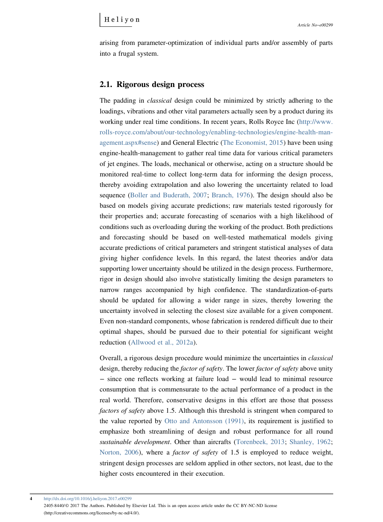arising from parameter-optimization of individual parts and/or assembly of parts into a frugal system.

#### 2.1. Rigorous design process

The padding in classical design could be minimized by strictly adhering to the loadings, vibrations and other vital parameters actually seen by a product during its working under real time conditions. In recent years, Rolls Royce Inc [\(http://www.](http://www.rolls-royce.com/about/our-technology/enabling-technologies/engine-health-management.aspx#sense) [rolls-royce.com/about/our-technology/enabling-technologies/engine-health-man](http://www.rolls-royce.com/about/our-technology/enabling-technologies/engine-health-management.aspx#sense)[agement.aspx#sense\)](http://www.rolls-royce.com/about/our-technology/enabling-technologies/engine-health-management.aspx#sense) and General Electric ([The Economist, 2015\)](#page-17-0) have been using engine-health-management to gather real time data for various critical parameters of jet engines. The loads, mechanical or otherwise, acting on a structure should be monitored real-time to collect long-term data for informing the design process, thereby avoiding extrapolation and also lowering the uncertainty related to load sequence [\(Boller and Buderath, 2007](#page-15-0); [Branch, 1976](#page-15-0)). The design should also be based on models giving accurate predictions; raw materials tested rigorously for their properties and; accurate forecasting of scenarios with a high likelihood of conditions such as overloading during the working of the product. Both predictions and forecasting should be based on well-tested mathematical models giving accurate predictions of critical parameters and stringent statistical analyses of data giving higher confidence levels. In this regard, the latest theories and/or data supporting lower uncertainty should be utilized in the design process. Furthermore, rigor in design should also involve statistically limiting the design parameters to narrow ranges accompanied by high confidence. The standardization-of-parts should be updated for allowing a wider range in sizes, thereby lowering the uncertainty involved in selecting the closest size available for a given component. Even non-standard components, whose fabrication is rendered difficult due to their optimal shapes, should be pursued due to their potential for significant weight reduction ([Allwood et al., 2012a\)](#page-15-0).

Overall, a rigorous design procedure would minimize the uncertainties in classical design, thereby reducing the *factor of safety*. The lower *factor of safety* above unity − since one reflects working at failure load − would lead to minimal resource consumption that is commensurate to the actual performance of a product in the real world. Therefore, conservative designs in this effort are those that possess factors of safety above 1.5. Although this threshold is stringent when compared to the value reported by [Otto and Antonsson \(1991\)](#page-17-0), its requirement is justified to emphasize both streamlining of design and robust performance for all round sustainable development. Other than aircrafts ([Torenbeek, 2013](#page-17-0); [Shanley, 1962](#page-17-0); [Norton, 2006](#page-17-0)), where a factor of safety of 1.5 is employed to reduce weight, stringent design processes are seldom applied in other sectors, not least, due to the higher costs encountered in their execution.

4 <http://dx.doi.org/10.1016/j.heliyon.2017.e00299>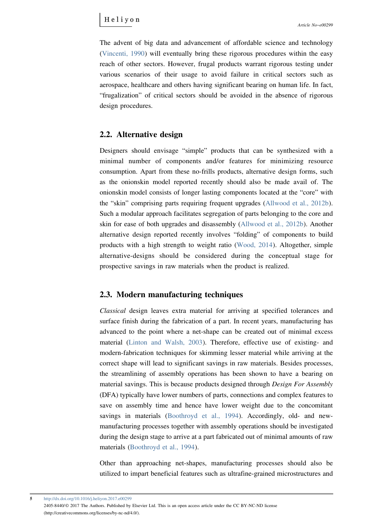<span id="page-4-0"></span>The advent of big data and advancement of affordable science and technology [\(Vincenti, 1990\)](#page-18-0) will eventually bring these rigorous procedures within the easy reach of other sectors. However, frugal products warrant rigorous testing under various scenarios of their usage to avoid failure in critical sectors such as aerospace, healthcare and others having significant bearing on human life. In fact, "frugalization" of critical sectors should be avoided in the absence of rigorous design procedures.

## 2.2. Alternative design

Designers should envisage "simple" products that can be synthesized with a minimal number of components and/or features for minimizing resource consumption. Apart from these no-frills products, alternative design forms, such as the onionskin model reported recently should also be made avail of. The onionskin model consists of longer lasting components located at the "core" with the "skin" comprising parts requiring frequent upgrades [\(Allwood et al., 2012b](#page-15-0)). Such a modular approach facilitates segregation of parts belonging to the core and skin for ease of both upgrades and disassembly [\(Allwood et al., 2012b](#page-15-0)). Another alternative design reported recently involves "folding" of components to build products with a high strength to weight ratio ([Wood, 2014](#page-18-0)). Altogether, simple alternative-designs should be considered during the conceptual stage for prospective savings in raw materials when the product is realized.

## 2.3. Modern manufacturing techniques

Classical design leaves extra material for arriving at specified tolerances and surface finish during the fabrication of a part. In recent years, manufacturing has advanced to the point where a net-shape can be created out of minimal excess material [\(Linton and Walsh, 2003](#page-16-0)). Therefore, effective use of existing- and modern-fabrication techniques for skimming lesser material while arriving at the correct shape will lead to significant savings in raw materials. Besides processes, the streamlining of assembly operations has been shown to have a bearing on material savings. This is because products designed through Design For Assembly (DFA) typically have lower numbers of parts, connections and complex features to save on assembly time and hence have lower weight due to the concomitant savings in materials [\(Boothroyd et al., 1994](#page-15-0)). Accordingly, old- and newmanufacturing processes together with assembly operations should be investigated during the design stage to arrive at a part fabricated out of minimal amounts of raw materials ([Boothroyd et al., 1994](#page-15-0)).

Other than approaching net-shapes, manufacturing processes should also be utilized to impart beneficial features such as ultrafine-grained microstructures and

<sup>2405-8440/© 2017</sup> The Authors. Published by Elsevier Ltd. This is an open access article under the CC BY-NC-ND license (http://creativecommons.org/licenses/by-nc-nd/4.0/).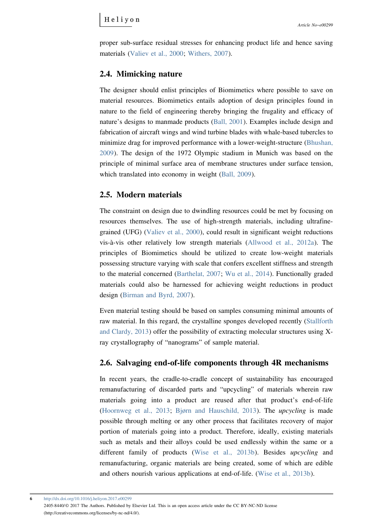<span id="page-5-0"></span>proper sub-surface residual stresses for enhancing product life and hence saving materials ([Valiev et al., 2000](#page-18-0); [Withers, 2007](#page-18-0)).

## 2.4. Mimicking nature

The designer should enlist principles of Biomimetics where possible to save on material resources. Biomimetics entails adoption of design principles found in nature to the field of engineering thereby bringing the frugality and efficacy of nature's designs to manmade products ([Ball, 2001\)](#page-15-0). Examples include design and fabrication of aircraft wings and wind turbine blades with whale-based tubercles to minimize drag for improved performance with a lower-weight-structure [\(Bhushan,](#page-15-0) [2009\)](#page-15-0). The design of the 1972 Olympic stadium in Munich was based on the principle of minimal surface area of membrane structures under surface tension, which translated into economy in weight ([Ball, 2009](#page-15-0)).

## 2.5. Modern materials

The constraint on design due to dwindling resources could be met by focusing on resources themselves. The use of high-strength materials, including ultrafinegrained (UFG) [\(Valiev et al., 2000](#page-18-0)), could result in significant weight reductions vis-à-vis other relatively low strength materials [\(Allwood et al., 2012a\)](#page-15-0). The principles of Biomimetics should be utilized to create low-weight materials possessing structure varying with scale that confers excellent stiffness and strength to the material concerned [\(Barthelat, 2007;](#page-15-0) [Wu et al., 2014](#page-18-0)). Functionally graded materials could also be harnessed for achieving weight reductions in product design [\(Birman and Byrd, 2007](#page-15-0)).

Even material testing should be based on samples consuming minimal amounts of raw material. In this regard, the crystalline sponges developed recently ([Stallforth](#page-17-0) [and Clardy, 2013\)](#page-17-0) offer the possibility of extracting molecular structures using Xray crystallography of "nanograms" of sample material.

## 2.6. Salvaging end-of-life components through 4R mechanisms

In recent years, the cradle-to-cradle concept of sustainability has encouraged remanufacturing of discarded parts and "upcycling" of materials wherein raw materials going into a product are reused after that product's end-of-life [\(Hoornweg et al., 2013;](#page-16-0) [Bjørn and Hauschild, 2013\)](#page-15-0). The upcycling is made possible through melting or any other process that facilitates recovery of major portion of materials going into a product. Therefore, ideally, existing materials such as metals and their alloys could be used endlessly within the same or a different family of products [\(Wise et al., 2013b](#page-18-0)). Besides upcycling and remanufacturing, organic materials are being created, some of which are edible and others nourish various applications at end-of-life. ([Wise et al., 2013b](#page-18-0)).

<sup>2405-8440/© 2017</sup> The Authors. Published by Elsevier Ltd. This is an open access article under the CC BY-NC-ND license (http://creativecommons.org/licenses/by-nc-nd/4.0/).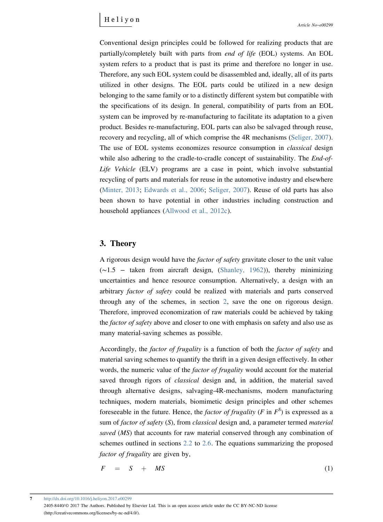<span id="page-6-0"></span>Conventional design principles could be followed for realizing products that are partially/completely built with parts from end of life (EOL) systems. An EOL system refers to a product that is past its prime and therefore no longer in use. Therefore, any such EOL system could be disassembled and, ideally, all of its parts utilized in other designs. The EOL parts could be utilized in a new design belonging to the same family or to a distinctly different system but compatible with the specifications of its design. In general, compatibility of parts from an EOL system can be improved by re-manufacturing to facilitate its adaptation to a given product. Besides re-manufacturing, EOL parts can also be salvaged through reuse, recovery and recycling, all of which comprise the 4R mechanisms ([Seliger, 2007](#page-17-0)). The use of EOL systems economizes resource consumption in *classical* design while also adhering to the cradle-to-cradle concept of sustainability. The *End-of-*Life Vehicle (ELV) programs are a case in point, which involve substantial recycling of parts and materials for reuse in the automotive industry and elsewhere [\(Minter, 2013](#page-16-0); [Edwards et al., 2006](#page-16-0); [Seliger, 2007](#page-17-0)). Reuse of old parts has also been shown to have potential in other industries including construction and household appliances ([Allwood et al., 2012c](#page-15-0)).

#### 3. Theory

A rigorous design would have the *factor of safety* gravitate closer to the unit value (∼1.5 − taken from aircraft design, [\(Shanley, 1962\)](#page-17-0)), thereby minimizing uncertainties and hence resource consumption. Alternatively, a design with an arbitrary factor of safety could be realized with materials and parts conserved through any of the schemes, in section [2](#page-2-0), save the one on rigorous design. Therefore, improved economization of raw materials could be achieved by taking the *factor of safety* above and closer to one with emphasis on safety and also use as many material-saving schemes as possible.

Accordingly, the factor of frugality is a function of both the factor of safety and material saving schemes to quantify the thrift in a given design effectively. In other words, the numeric value of the *factor of frugality* would account for the material saved through rigors of classical design and, in addition, the material saved through alternative designs, salvaging-4R-mechanisms, modern manufacturing techniques, modern materials, biomimetic design principles and other schemes foreseeable in the future. Hence, the *factor of frugality* (*F* in  $F^S$ ) is expressed as a sum of factor of safety (S), from classical design and, a parameter termed *material* saved (MS) that accounts for raw material conserved through any combination of schemes outlined in sections [2.2](#page-4-0) to [2.6](#page-5-0). The equations summarizing the proposed factor of frugality are given by,

$$
F = S + MS \tag{1}
$$

<sup>2405-8440/© 2017</sup> The Authors. Published by Elsevier Ltd. This is an open access article under the CC BY-NC-ND license (http://creativecommons.org/licenses/by-nc-nd/4.0/).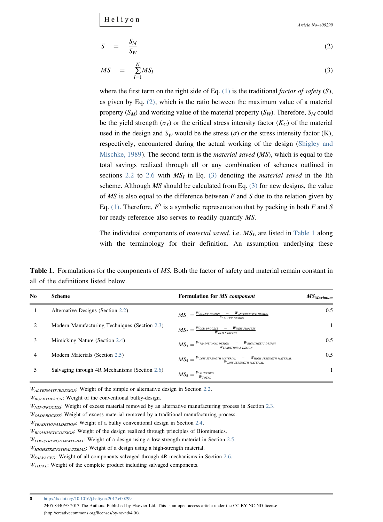<span id="page-7-0"></span>
$$
S = \frac{S_M}{S_W} \tag{2}
$$

$$
MS = \sum_{I=1}^{N} MS_I \tag{3}
$$

where the first term on the right side of Eq.  $(1)$  is the traditional factor of safety  $(S)$ , as given by Eq. (2), which is the ratio between the maximum value of a material property  $(S_M)$  and working value of the material property  $(S_W)$ . Therefore,  $S_M$  could be the yield strength ( $\sigma_Y$ ) or the critical stress intensity factor ( $K_C$ ) of the material used in the design and  $S_W$  would be the stress ( $\sigma$ ) or the stress intensity factor (K), respectively, encountered during the actual working of the design [\(Shigley and](#page-17-0) [Mischke, 1989](#page-17-0)). The second term is the *material saved*  $(MS)$ , which is equal to the total savings realized through all or any combination of schemes outlined in sections [2.2](#page-4-0) to [2.6](#page-5-0) with  $MS<sub>I</sub>$  in Eq. (3) denoting the *material saved* in the Ith scheme. Although  $MS$  should be calculated from Eq. (3) for new designs, the value of  $\overline{MS}$  is also equal to the difference between  $F$  and  $S$  due to the relation given by Eq. [\(1\).](#page-6-0) Therefore,  $F^S$  is a symbolic representation that by packing in both F and S for ready reference also serves to readily quantify MS.

The individual components of *material saved*, i.e.  $MS<sub>I</sub>$ , are listed in Table 1 along with the terminology for their definition. An assumption underlying these

Table 1. Formulations for the components of MS. Both the factor of safety and material remain constant in all of the definitions listed below.

| No | <b>Scheme</b>                                 | Formulation for MS component                                                                               | $MS_{Maximum}$ |
|----|-----------------------------------------------|------------------------------------------------------------------------------------------------------------|----------------|
|    | Alternative Designs (Section 2.2)             | $MS_1 = \frac{W_{BULKY\; DESIGN}\;--\;- \;W_{ALTERNATIVE\; DESIGN}}{W_{BULKY\; DESIGN}}$                   | 0.5            |
| 2  | Modern Manufacturing Techniques (Section 2.3) | $MS_2 = \frac{W_{OLD \; FROCESS}}{W_{OLD \; FROCESS}} - \frac{W_{NEW \; FROCESS}}{W_{OLD \; FROCESS}}$     |                |
|    | Mimicking Nature (Section 2.4)                | $MS_3 = \frac{W_{\text{TRADITIONAL DESGN}}}{W_{\text{TRADITIONAL DESGN}}}$                                 | 0.5            |
| 4  | Modern Materials (Section 2.5)                | $M S_4 = \frac{W_{LOW\;STRENGTH\;MATERIAL}~-~~~W_{HIGH\;STRENGTH\;MATERIAL}}{W_{LOW\;STRENGTH\;MATERIAL}}$ | 0.5            |
|    | Salvaging through 4R Mechanisms (Section 2.6) | $MS_5=\frac{W_{SALVEGED}}{W_{TOTAL}}$                                                                      |                |

 $W_{ALTERNATIVEDESIGN}$ : Weight of the simple or alternative design in Section [2.2](#page-4-0).

 $W_{BUIKYDESIGN}$ : Weight of the conventional bulky-design.

 $W_{NFWPROCESS}$ : Weight of excess material removed by an alternative manufacturing process in Section [2.3](#page-4-0).

 $W_{OIDPROCES}$ : Weight of excess material removed by a traditional manufacturing process.

W<sub>TRADITIONALDESIGN</sub>: Weight of a bulky conventional design in Section [2.4](#page-5-0).

W<sub>BIOMIMETICDESIGN</sub>: Weight of the design realized through principles of Biomimetics.

W<sub>LOWSTRENGTHMATERIAL</sub>: Weight of a design using a low-strength material in Section [2.5](#page-5-0).

W<sub>HIGHSTRENGTHMATERIAL</sub>: Weight of a design using a high-strength material.

 $W_{TOTAL}$ : Weight of the complete product including salvaged components.

WSALVAGED: Weight of all components salvaged through 4R mechanisms in Section [2.6](#page-5-0).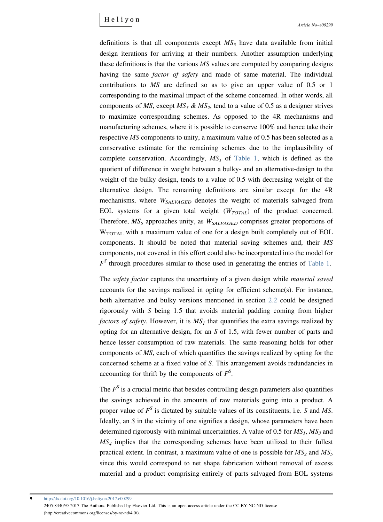definitions is that all components except  $MS<sub>5</sub>$  have data available from initial design iterations for arriving at their numbers. Another assumption underlying these definitions is that the various MS values are computed by comparing designs having the same *factor of safety* and made of same material. The individual contributions to MS are defined so as to give an upper value of 0.5 or 1 corresponding to the maximal impact of the scheme concerned. In other words, all components of MS, except  $MS_5 \& MS_2$ , tend to a value of 0.5 as a designer strives to maximize corresponding schemes. As opposed to the 4R mechanisms and manufacturing schemes, where it is possible to conserve 100% and hence take their respective MS components to unity, a maximum value of 0.5 has been selected as a conservative estimate for the remaining schemes due to the implausibility of complete conservation. Accordingly,  $MS<sub>1</sub>$  of [Table 1](#page-7-0), which is defined as the quotient of difference in weight between a bulky- and an alternative-design to the weight of the bulky design, tends to a value of 0.5 with decreasing weight of the alternative design. The remaining definitions are similar except for the 4R mechanisms, where  $W_{SALVAGED}$  denotes the weight of materials salvaged from EOL systems for a given total weight  $(W<sub>TOTAI</sub>)$  of the product concerned. Therefore,  $MS<sub>5</sub>$  approaches unity, as  $W<sub>SALVAGED</sub>$  comprises greater proportions of W<sub>TOTAL</sub> with a maximum value of one for a design built completely out of EOL components. It should be noted that material saving schemes and, their MS components, not covered in this effort could also be incorporated into the model for  $F<sup>S</sup>$  through procedures similar to those used in generating the entries of [Table 1.](#page-7-0)

The *safety factor* captures the uncertainty of a given design while *material saved* accounts for the savings realized in opting for efficient scheme(s). For instance, both alternative and bulky versions mentioned in section [2.2](#page-4-0) could be designed rigorously with S being 1.5 that avoids material padding coming from higher factors of safety. However, it is  $MS<sub>1</sub>$  that quantifies the extra savings realized by opting for an alternative design, for an S of 1.5, with fewer number of parts and hence lesser consumption of raw materials. The same reasoning holds for other components of MS, each of which quantifies the savings realized by opting for the concerned scheme at a fixed value of S. This arrangement avoids redundancies in accounting for thrift by the components of  $F^S$ .

The  $F<sup>S</sup>$  is a crucial metric that besides controlling design parameters also quantifies the savings achieved in the amounts of raw materials going into a product. A proper value of  $F^S$  is dictated by suitable values of its constituents, i.e. S and MS. Ideally, an S in the vicinity of one signifies a design, whose parameters have been determined rigorously with minimal uncertainties. A value of 0.5 for  $MS_1$ ,  $MS_3$  and  $MS<sub>4</sub>$  implies that the corresponding schemes have been utilized to their fullest practical extent. In contrast, a maximum value of one is possible for  $MS_2$  and  $MS_5$ since this would correspond to net shape fabrication without removal of excess material and a product comprising entirely of parts salvaged from EOL systems

9 <http://dx.doi.org/10.1016/j.heliyon.2017.e00299>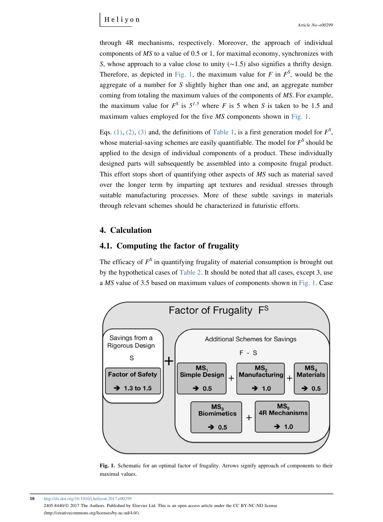through 4R mechanisms, respectively. Moreover, the approach of individual components of MS to a value of 0.5 or 1, for maximal economy, synchronizes with S, whose approach to a value close to unity  $(\sim 1.5)$  also signifies a thrifty design. Therefore, as depicted in Fig. 1, the maximum value for F in  $F^S$ , would be the aggregate of a number for S slightly higher than one and, an aggregate number coming from totaling the maximum values of the components of MS. For example, the maximum value for  $F^S$  is  $5^{1.5}$  where F is 5 when S is taken to be 1.5 and maximum values employed for the five MS components shown in Fig. 1.

Eqs. [\(1\),](#page-6-0) [\(2\)](#page-7-0), [\(3\)](#page-7-0) and, the definitions of [Table 1](#page-7-0), is a first generation model for  $F^S$ , whose material-saving schemes are easily quantifiable. The model for  $F<sup>S</sup>$  should be applied to the design of individual components of a product. These individually designed parts will subsequently be assembled into a composite frugal product. This effort stops short of quantifying other aspects of MS such as material saved over the longer term by imparting apt textures and residual stresses through suitable manufacturing processes. More of these subtle savings in materials through relevant schemes should be characterized in futuristic efforts.

## 4. Calculation

## 4.1. Computing the factor of frugality

The efficacy of  $F<sup>S</sup>$  in quantifying frugality of material consumption is brought out by the hypothetical cases of [Table 2.](#page-10-0) It should be noted that all cases, except 3, use a MS value of 3.5 based on maximum values of components shown in Fig. 1. Case



Fig. 1. Schematic for an optimal factor of frugality. Arrows signify approach of components to their maximal values.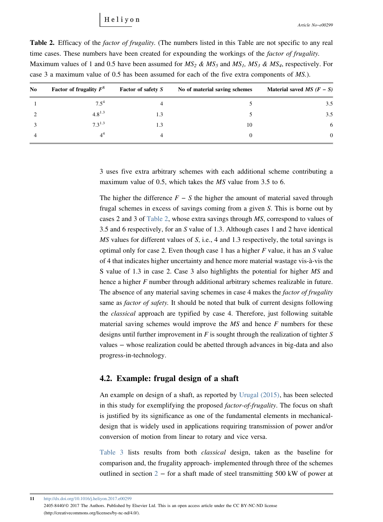Helivon

<span id="page-10-0"></span>

| <b>Table 2.</b> Efficacy of the <i>factor of frugality</i> . (The numbers listed in this Table are not specific to any real |
|-----------------------------------------------------------------------------------------------------------------------------|
| time cases. These numbers have been created for expounding the workings of the <i>factor of frugality</i> .                 |
| Maximum values of 1 and 0.5 have been assumed for $MS_2 \& MS_5$ and $MS_1$ , $MS_3 \& MS_4$ , respectively. For            |
| case 3 a maximum value of 0.5 has been assumed for each of the five extra components of MS.).                               |

| N <sub>0</sub> | Factor of frugality $F^S$ | <b>Factor of safety S</b> | No of material saving schemes | Material saved MS $(F - S)$ |
|----------------|---------------------------|---------------------------|-------------------------------|-----------------------------|
|                | $7.5^4$                   |                           |                               | 3.5                         |
|                | $4.8^{1.3}$               | 1.3                       |                               | 3.5                         |
|                | $7.3^{1.3}$               | 1.3                       | 10                            |                             |
|                |                           | 4                         | $\mathbf{\Omega}$             |                             |

3 uses five extra arbitrary schemes with each additional scheme contributing a maximum value of 0.5, which takes the *MS* value from 3.5 to 6.

The higher the difference  $F - S$  the higher the amount of material saved through frugal schemes in excess of savings coming from a given S. This is borne out by cases 2 and 3 of Table 2, whose extra savings through MS, correspond to values of 3.5 and 6 respectively, for an S value of 1.3. Although cases 1 and 2 have identical  $MS$  values for different values of S, i.e., 4 and 1.3 respectively, the total savings is optimal only for case 2. Even though case 1 has a higher  $F$  value, it has an  $S$  value of 4 that indicates higher uncertainty and hence more material wastage vis-à-vis the S value of 1.3 in case 2. Case 3 also highlights the potential for higher MS and hence a higher F number through additional arbitrary schemes realizable in future. The absence of any material saving schemes in case 4 makes the *factor of frugality* same as *factor of safety*. It should be noted that bulk of current designs following the classical approach are typified by case 4. Therefore, just following suitable material saving schemes would improve the  $\overline{MS}$  and hence  $\overline{F}$  numbers for these designs until further improvement in  $F$  is sought through the realization of tighter  $S$ values − whose realization could be abetted through advances in big-data and also progress-in-technology.

#### 4.2. Example: frugal design of a shaft

An example on design of a shaft, as reported by [Urugal \(2015\)](#page-18-0), has been selected in this study for exemplifying the proposed factor-of-frugality. The focus on shaft is justified by its significance as one of the fundamental elements in mechanicaldesign that is widely used in applications requiring transmission of power and/or conversion of motion from linear to rotary and vice versa.

[Table 3](#page-11-0) lists results from both classical design, taken as the baseline for comparison and, the frugality approach- implemented through three of the schemes outlined in section  $2 2 -$  for a shaft made of steel transmitting 500 kW of power at

11 <http://dx.doi.org/10.1016/j.heliyon.2017.e00299>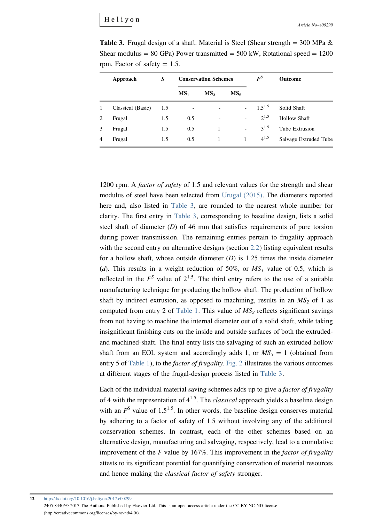|                | Approach          | S   |        | <b>Conservation Schemes</b> |                          | $\bm{F}^{\bm{S}}$ | Outcome               |
|----------------|-------------------|-----|--------|-----------------------------|--------------------------|-------------------|-----------------------|
|                |                   |     | $MS_1$ | MS <sub>2</sub>             | MS <sub>5</sub>          |                   |                       |
| 1              | Classical (Basic) | 1.5 |        | ۰                           | $\sim$                   | $1.5^{1.5}$       | Solid Shaft           |
| 2              | Frugal            | 1.5 | 0.5    |                             | $\overline{a}$           | $2^{1.5}$         | Hollow Shaft          |
| 3              | Frugal            | 1.5 | 0.5    |                             | $\overline{\phantom{0}}$ | $3^{1.5}$         | Tube Extrusion        |
| $\overline{4}$ | Frugal            | 1.5 | 0.5    |                             | 1                        | $4^{1.5}$         | Salvage Extruded Tube |

<span id="page-11-0"></span>**Table 3.** Frugal design of a shaft. Material is Steel (Shear strength =  $300$  MPa & Shear modulus = 80 GPa) Power transmitted = 500 kW, Rotational speed =  $1200$ rpm, Factor of safety  $= 1.5$ .

1200 rpm. A factor of safety of 1.5 and relevant values for the strength and shear modulus of steel have been selected from [Urugal \(2015\)](#page-18-0). The diameters reported here and, also listed in Table 3, are rounded to the nearest whole number for clarity. The first entry in Table 3, corresponding to baseline design, lists a solid steel shaft of diameter  $(D)$  of 46 mm that satisfies requirements of pure torsion during power transmission. The remaining entries pertain to frugality approach with the second entry on alternative designs (section [2.2](#page-4-0)) listing equivalent results for a hollow shaft, whose outside diameter  $(D)$  is 1.25 times the inside diameter (d). This results in a weight reduction of 50%, or  $MS<sub>1</sub>$  value of 0.5, which is reflected in the  $F^S$  value of  $2^{1.5}$ . The third entry refers to the use of a suitable manufacturing technique for producing the hollow shaft. The production of hollow shaft by indirect extrusion, as opposed to machining, results in an  $MS<sub>2</sub>$  of 1 as computed from entry 2 of [Table 1.](#page-7-0) This value of  $MS<sub>2</sub>$  reflects significant savings from not having to machine the internal diameter out of a solid shaft, while taking insignificant finishing cuts on the inside and outside surfaces of both the extrudedand machined-shaft. The final entry lists the salvaging of such an extruded hollow shaft from an EOL system and accordingly adds 1, or  $MS<sub>5</sub> = 1$  (obtained from entry 5 of [Table 1](#page-7-0)), to the *factor of frugality*. [Fig. 2](#page-12-0) illustrates the various outcomes at different stages of the frugal-design process listed in Table 3.

Each of the individual material saving schemes adds up to give a factor of frugality of 4 with the representation of  $4^{1.5}$ . The *classical* approach yields a baseline design with an  $F<sup>S</sup>$  value of 1.5<sup>1.5</sup>. In other words, the baseline design conserves material by adhering to a factor of safety of 1.5 without involving any of the additional conservation schemes. In contrast, each of the other schemes based on an alternative design, manufacturing and salvaging, respectively, lead to a cumulative improvement of the  $F$  value by 167%. This improvement in the factor of frugality attests to its significant potential for quantifying conservation of material resources and hence making the classical factor of safety stronger.

<sup>2405-8440/© 2017</sup> The Authors. Published by Elsevier Ltd. This is an open access article under the CC BY-NC-ND license (http://creativecommons.org/licenses/by-nc-nd/4.0/).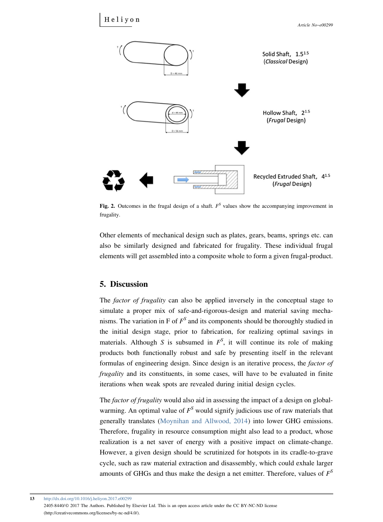<span id="page-12-0"></span>

Fig. 2. Outcomes in the frugal design of a shaft.  $F<sup>S</sup>$  values show the accompanying improvement in frugality.

Other elements of mechanical design such as plates, gears, beams, springs etc. can also be similarly designed and fabricated for frugality. These individual frugal elements will get assembled into a composite whole to form a given frugal-product.

## 5. Discussion

The factor of frugality can also be applied inversely in the conceptual stage to simulate a proper mix of safe-and-rigorous-design and material saving mechanisms. The variation in F of  $F^S$  and its components should be thoroughly studied in the initial design stage, prior to fabrication, for realizing optimal savings in materials. Although S is subsumed in  $F^S$ , it will continue its role of making products both functionally robust and safe by presenting itself in the relevant formulas of engineering design. Since design is an iterative process, the factor of frugality and its constituents, in some cases, will have to be evaluated in finite iterations when weak spots are revealed during initial design cycles.

The *factor of frugality* would also aid in assessing the impact of a design on globalwarming. An optimal value of  $F<sup>S</sup>$  would signify judicious use of raw materials that generally translates ([Moynihan and Allwood, 2014](#page-16-0)) into lower GHG emissions. Therefore, frugality in resource consumption might also lead to a product, whose realization is a net saver of energy with a positive impact on climate-change. However, a given design should be scrutinized for hotspots in its cradle-to-grave cycle, such as raw material extraction and disassembly, which could exhale larger amounts of GHGs and thus make the design a net emitter. Therefore, values of  $F<sup>S</sup>$ 

<sup>2405-8440/© 2017</sup> The Authors. Published by Elsevier Ltd. This is an open access article under the CC BY-NC-ND license (http://creativecommons.org/licenses/by-nc-nd/4.0/).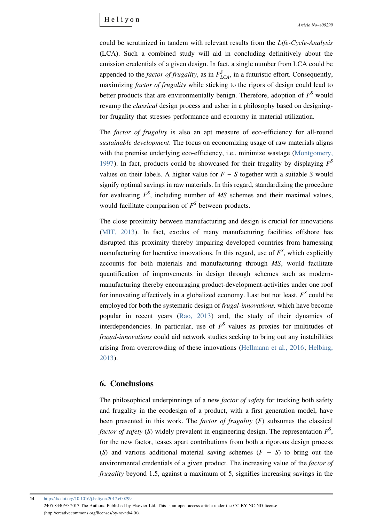could be scrutinized in tandem with relevant results from the Life-Cycle-Analysis (LCA). Such a combined study will aid in concluding definitively about the emission credentials of a given design. In fact, a single number from LCA could be appended to the *factor of frugality*, as in  $F_{LCA}^S$ , in a futuristic effort. Consequently, maximizing *factor of frugality* while sticking to the rigors of design could lead to better products that are environmentally benign. Therefore, adoption of  $F<sup>S</sup>$  would revamp the *classical* design process and usher in a philosophy based on designingfor-frugality that stresses performance and economy in material utilization.

The *factor of frugality* is also an apt measure of eco-efficiency for all-round sustainable development. The focus on economizing usage of raw materials aligns with the premise underlying eco-efficiency, i.e., minimize wastage ([Montgomery,](#page-16-0) [1997\)](#page-16-0). In fact, products could be showcased for their frugality by displaying  $F^S$ values on their labels. A higher value for  $F - S$  together with a suitable S would signify optimal savings in raw materials. In this regard, standardizing the procedure for evaluating  $F^S$ , including number of MS schemes and their maximal values, would facilitate comparison of  $F<sup>S</sup>$  between products.

The close proximity between manufacturing and design is crucial for innovations [\(MIT, 2013\)](#page-16-0). In fact, exodus of many manufacturing facilities offshore has disrupted this proximity thereby impairing developed countries from harnessing manufacturing for lucrative innovations. In this regard, use of  $F<sup>S</sup>$ , which explicitly accounts for both materials and manufacturing through MS, would facilitate quantification of improvements in design through schemes such as modernmanufacturing thereby encouraging product-development-activities under one roof for innovating effectively in a globalized economy. Last but not least,  $F<sup>S</sup>$  could be employed for both the systematic design of frugal-innovations, which have become popular in recent years ([Rao, 2013](#page-17-0)) and, the study of their dynamics of interdependencies. In particular, use of  $F<sup>S</sup>$  values as proxies for multitudes of frugal-innovations could aid network studies seeking to bring out any instabilities arising from overcrowding of these innovations [\(Hellmann et al., 2016](#page-16-0); [Helbing,](#page-16-0) [2013\)](#page-16-0).

#### 6. Conclusions

The philosophical underpinnings of a new *factor of safety* for tracking both safety and frugality in the ecodesign of a product, with a first generation model, have been presented in this work. The *factor of frugality*  $(F)$  subsumes the classical factor of safety (S) widely prevalent in engineering design. The representation  $F^S$ , for the new factor, teases apart contributions from both a rigorous design process (S) and various additional material saving schemes  $(F - S)$  to bring out the environmental credentials of a given product. The increasing value of the factor of frugality beyond 1.5, against a maximum of 5, signifies increasing savings in the

<sup>2405-8440/© 2017</sup> The Authors. Published by Elsevier Ltd. This is an open access article under the CC BY-NC-ND license (http://creativecommons.org/licenses/by-nc-nd/4.0/).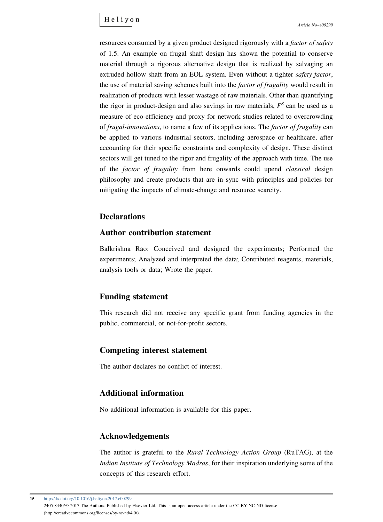resources consumed by a given product designed rigorously with a factor of safety of 1.5. An example on frugal shaft design has shown the potential to conserve material through a rigorous alternative design that is realized by salvaging an extruded hollow shaft from an EOL system. Even without a tighter *safety factor*, the use of material saving schemes built into the *factor of frugality* would result in realization of products with lesser wastage of raw materials. Other than quantifying the rigor in product-design and also savings in raw materials,  $F<sup>S</sup>$  can be used as a measure of eco-efficiency and proxy for network studies related to overcrowding of frugal-innovations, to name a few of its applications. The factor of frugality can be applied to various industrial sectors, including aerospace or healthcare, after accounting for their specific constraints and complexity of design. These distinct sectors will get tuned to the rigor and frugality of the approach with time. The use of the factor of frugality from here onwards could upend classical design philosophy and create products that are in sync with principles and policies for mitigating the impacts of climate-change and resource scarcity.

## **Declarations**

## Author contribution statement

Balkrishna Rao: Conceived and designed the experiments; Performed the experiments; Analyzed and interpreted the data; Contributed reagents, materials, analysis tools or data; Wrote the paper.

#### Funding statement

This research did not receive any specific grant from funding agencies in the public, commercial, or not-for-profit sectors.

#### Competing interest statement

The author declares no conflict of interest.

## Additional information

No additional information is available for this paper.

#### Acknowledgements

The author is grateful to the Rural Technology Action Group (RuTAG), at the Indian Institute of Technology Madras, for their inspiration underlying some of the concepts of this research effort.

<sup>2405-8440/© 2017</sup> The Authors. Published by Elsevier Ltd. This is an open access article under the CC BY-NC-ND license (http://creativecommons.org/licenses/by-nc-nd/4.0/).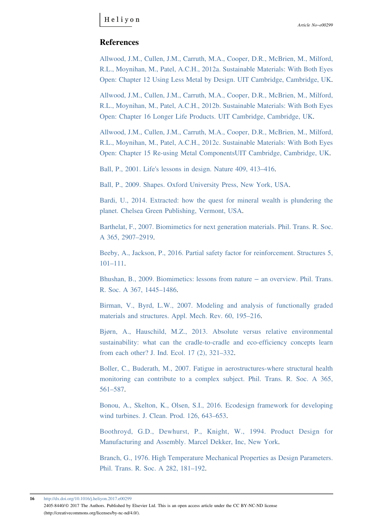## <span id="page-15-0"></span>References

[Allwood, J.M., Cullen, J.M., Carruth, M.A., Cooper, D.R., McBrien, M., Milford,](http://refhub.elsevier.com/S2405-8440(16)31864-3/sbref0005) [R.L., Moynihan, M., Patel, A.C.H., 2012a. Sustainable Materials: With Both Eyes](http://refhub.elsevier.com/S2405-8440(16)31864-3/sbref0005) [Open: Chapter 12 Using Less Metal by Design. UIT Cambridge, Cambridge, UK.](http://refhub.elsevier.com/S2405-8440(16)31864-3/sbref0005)

[Allwood, J.M., Cullen, J.M., Carruth, M.A., Cooper, D.R., McBrien, M., Milford,](http://refhub.elsevier.com/S2405-8440(16)31864-3/sbref0010) [R.L., Moynihan, M., Patel, A.C.H., 2012b. Sustainable Materials: With Both Eyes](http://refhub.elsevier.com/S2405-8440(16)31864-3/sbref0010) [Open: Chapter 16 Longer Life Products. UIT Cambridge, Cambridge, UK.](http://refhub.elsevier.com/S2405-8440(16)31864-3/sbref0010)

[Allwood, J.M., Cullen, J.M., Carruth, M.A., Cooper, D.R., McBrien, M., Milford,](http://refhub.elsevier.com/S2405-8440(16)31864-3/sbref0015) [R.L., Moynihan, M., Patel, A.C.H., 2012c. Sustainable Materials: With Both Eyes](http://refhub.elsevier.com/S2405-8440(16)31864-3/sbref0015) [Open: Chapter 15 Re-using Metal ComponentsUIT Cambridge, Cambridge, UK](http://refhub.elsevier.com/S2405-8440(16)31864-3/sbref0015).

[Ball, P., 2001. Life's lessons in design. Nature 409, 413](http://refhub.elsevier.com/S2405-8440(16)31864-3/sbref0020)–416.

[Ball, P., 2009. Shapes. Oxford University Press, New York, USA](http://refhub.elsevier.com/S2405-8440(16)31864-3/sbref0025).

[Bardi, U., 2014. Extracted: how the quest for mineral wealth is plundering the](http://refhub.elsevier.com/S2405-8440(16)31864-3/sbref0030) [planet. Chelsea Green Publishing, Vermont, USA](http://refhub.elsevier.com/S2405-8440(16)31864-3/sbref0030).

[Barthelat, F., 2007. Biomimetics for next generation materials. Phil. Trans. R. Soc.](http://refhub.elsevier.com/S2405-8440(16)31864-3/sbref0035) [A 365, 2907](http://refhub.elsevier.com/S2405-8440(16)31864-3/sbref0035)–2919.

[Beeby, A., Jackson, P., 2016. Partial safety factor for reinforcement. Structures 5,](http://refhub.elsevier.com/S2405-8440(16)31864-3/sbref0040) 101–[111.](http://refhub.elsevier.com/S2405-8440(16)31864-3/sbref0040)

[Bhushan, B., 2009. Biomimetics: lessons from nature](http://refhub.elsevier.com/S2405-8440(16)31864-3/sbref0045) − an overview. Phil. Trans. [R. Soc. A 367, 1445](http://refhub.elsevier.com/S2405-8440(16)31864-3/sbref0045)–1486.

[Birman, V., Byrd, L.W., 2007. Modeling and analysis of functionally graded](http://refhub.elsevier.com/S2405-8440(16)31864-3/sbref0050) [materials and structures. Appl. Mech. Rev. 60, 195](http://refhub.elsevier.com/S2405-8440(16)31864-3/sbref0050)–216.

[Bjørn, A., Hauschild, M.Z., 2013. Absolute versus relative environmental](http://refhub.elsevier.com/S2405-8440(16)31864-3/sbref0055) [sustainability: what can the cradle-to-cradle and eco-efficiency concepts learn](http://refhub.elsevier.com/S2405-8440(16)31864-3/sbref0055) [from each other? J. Ind. Ecol. 17 \(2\), 321](http://refhub.elsevier.com/S2405-8440(16)31864-3/sbref0055)–332.

[Boller, C., Buderath, M., 2007. Fatigue in aerostructures-where structural health](http://refhub.elsevier.com/S2405-8440(16)31864-3/sbref0060) [monitoring can contribute to a complex subject. Phil. Trans. R. Soc. A 365,](http://refhub.elsevier.com/S2405-8440(16)31864-3/sbref0060) 561–[587.](http://refhub.elsevier.com/S2405-8440(16)31864-3/sbref0060)

[Bonou, A., Skelton, K., Olsen, S.I., 2016. Ecodesign framework for developing](http://refhub.elsevier.com/S2405-8440(16)31864-3/sbref0065) [wind turbines. J. Clean. Prod. 126, 643](http://refhub.elsevier.com/S2405-8440(16)31864-3/sbref0065)–653.

[Boothroyd, G.D., Dewhurst, P., Knight, W., 1994. Product Design for](http://refhub.elsevier.com/S2405-8440(16)31864-3/sbref0070) [Manufacturing and Assembly. Marcel Dekker, Inc, New York](http://refhub.elsevier.com/S2405-8440(16)31864-3/sbref0070).

[Branch, G., 1976. High Temperature Mechanical Properties as Design Parameters.](http://refhub.elsevier.com/S2405-8440(16)31864-3/sbref0075) [Phil. Trans. R. Soc. A 282, 181](http://refhub.elsevier.com/S2405-8440(16)31864-3/sbref0075)–192.

<sup>16</sup> <http://dx.doi.org/10.1016/j.heliyon.2017.e00299>

<sup>2405-8440/© 2017</sup> The Authors. Published by Elsevier Ltd. This is an open access article under the CC BY-NC-ND license (http://creativecommons.org/licenses/by-nc-nd/4.0/).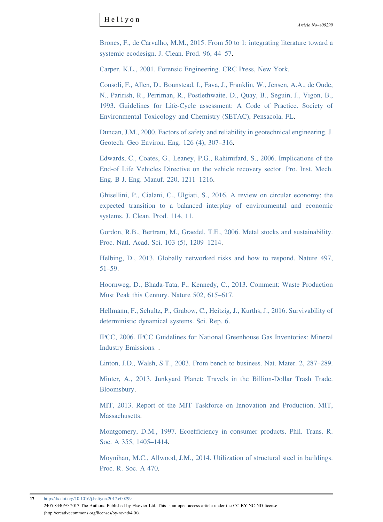<span id="page-16-0"></span>[Brones, F., de Carvalho, M.M., 2015. From 50 to 1: integrating literature toward a](http://refhub.elsevier.com/S2405-8440(16)31864-3/sbref0080) [systemic ecodesign. J. Clean. Prod. 96, 44](http://refhub.elsevier.com/S2405-8440(16)31864-3/sbref0080)–57.

[Carper, K.L., 2001. Forensic Engineering. CRC Press, New York](http://refhub.elsevier.com/S2405-8440(16)31864-3/sbref0085).

[Consoli, F., Allen, D., Bounstead, I., Fava, J., Franklin, W., Jensen, A.A., de Oude,](http://refhub.elsevier.com/S2405-8440(16)31864-3/sbref0090) [N., Parirish, R., Perriman, R., Postlethwaite, D., Quay, B., Seguin, J., Vigon, B.,](http://refhub.elsevier.com/S2405-8440(16)31864-3/sbref0090) [1993. Guidelines for Life-Cycle assessment: A Code of Practice. Society of](http://refhub.elsevier.com/S2405-8440(16)31864-3/sbref0090) [Environmental Toxicology and Chemistry \(SETAC\), Pensacola, FL](http://refhub.elsevier.com/S2405-8440(16)31864-3/sbref0090).

[Duncan, J.M., 2000. Factors of safety and reliability in geotechnical engineering. J.](http://refhub.elsevier.com/S2405-8440(16)31864-3/sbref0095) [Geotech. Geo Environ. Eng. 126 \(4\), 307](http://refhub.elsevier.com/S2405-8440(16)31864-3/sbref0095)–316.

[Edwards, C., Coates, G., Leaney, P.G., Rahimifard, S., 2006. Implications of the](http://refhub.elsevier.com/S2405-8440(16)31864-3/sbref0100) [End-of Life Vehicles Directive on the vehicle recovery sector. Pro. Inst. Mech.](http://refhub.elsevier.com/S2405-8440(16)31864-3/sbref0100) [Eng. B J. Eng. Manuf. 220, 1211](http://refhub.elsevier.com/S2405-8440(16)31864-3/sbref0100)–1216.

[Ghisellini, P., Cialani, C., Ulgiati, S., 2016. A review on circular economy: the](http://refhub.elsevier.com/S2405-8440(16)31864-3/sbref0105) [expected transition to a balanced interplay of environmental and economic](http://refhub.elsevier.com/S2405-8440(16)31864-3/sbref0105) [systems. J. Clean. Prod. 114, 11](http://refhub.elsevier.com/S2405-8440(16)31864-3/sbref0105).

[Gordon, R.B., Bertram, M., Graedel, T.E., 2006. Metal stocks and sustainability.](http://refhub.elsevier.com/S2405-8440(16)31864-3/sbref0110) [Proc. Natl. Acad. Sci. 103 \(5\), 1209](http://refhub.elsevier.com/S2405-8440(16)31864-3/sbref0110)–1214.

[Helbing, D., 2013. Globally networked risks and how to respond. Nature 497,](http://refhub.elsevier.com/S2405-8440(16)31864-3/sbref0115) 51–[59.](http://refhub.elsevier.com/S2405-8440(16)31864-3/sbref0115)

[Hoornweg, D., Bhada-Tata, P., Kennedy, C., 2013. Comment: Waste Production](http://refhub.elsevier.com/S2405-8440(16)31864-3/sbref0120) [Must Peak this Century. Nature 502, 615](http://refhub.elsevier.com/S2405-8440(16)31864-3/sbref0120)–617.

[Hellmann, F., Schultz, P., Grabow, C., Heitzig, J., Kurths, J., 2016. Survivability of](http://refhub.elsevier.com/S2405-8440(16)31864-3/sbref0125) [deterministic dynamical systems. Sci. Rep. 6.](http://refhub.elsevier.com/S2405-8440(16)31864-3/sbref0125)

[IPCC, 2006. IPCC Guidelines for National Greenhouse Gas Inventories: Mineral](http://refhub.elsevier.com/S2405-8440(16)31864-3/sbref0130) [Industry Emissions.](http://refhub.elsevier.com/S2405-8440(16)31864-3/sbref0130) .

[Linton, J.D., Walsh, S.T., 2003. From bench to business. Nat. Mater. 2, 287](http://refhub.elsevier.com/S2405-8440(16)31864-3/sbref0135)–289.

[Minter, A., 2013. Junkyard Planet: Travels in the Billion-Dollar Trash Trade.](http://refhub.elsevier.com/S2405-8440(16)31864-3/sbref0140) [Bloomsbury.](http://refhub.elsevier.com/S2405-8440(16)31864-3/sbref0140)

[MIT, 2013. Report of the MIT Taskforce on Innovation and Production. MIT,](http://refhub.elsevier.com/S2405-8440(16)31864-3/sbref0145) [Massachusetts](http://refhub.elsevier.com/S2405-8440(16)31864-3/sbref0145).

[Montgomery, D.M., 1997. Ecoefficiency in consumer products. Phil. Trans. R.](http://refhub.elsevier.com/S2405-8440(16)31864-3/sbref0150) [Soc. A 355, 1405](http://refhub.elsevier.com/S2405-8440(16)31864-3/sbref0150)–1414.

[Moynihan, M.C., Allwood, J.M., 2014. Utilization of structural steel in buildings.](http://refhub.elsevier.com/S2405-8440(16)31864-3/sbref0155) [Proc. R. Soc. A 470.](http://refhub.elsevier.com/S2405-8440(16)31864-3/sbref0155)

<sup>17</sup> <http://dx.doi.org/10.1016/j.heliyon.2017.e00299>

<sup>2405-8440/© 2017</sup> The Authors. Published by Elsevier Ltd. This is an open access article under the CC BY-NC-ND license (http://creativecommons.org/licenses/by-nc-nd/4.0/).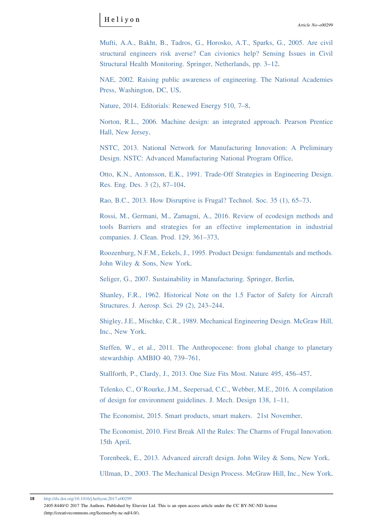<span id="page-17-0"></span>[Mufti, A.A., Bakht, B., Tadros, G., Horosko, A.T., Sparks, G., 2005. Are civil](http://refhub.elsevier.com/S2405-8440(16)31864-3/sbref0160) [structural engineers risk averse? Can civionics help? Sensing Issues in Civil](http://refhub.elsevier.com/S2405-8440(16)31864-3/sbref0160) [Structural Health Monitoring. Springer, Netherlands, pp. 3](http://refhub.elsevier.com/S2405-8440(16)31864-3/sbref0160)–12.

[NAE, 2002. Raising public awareness of engineering. The National Academies](http://refhub.elsevier.com/S2405-8440(16)31864-3/sbref0165) [Press, Washington, DC, US.](http://refhub.elsevier.com/S2405-8440(16)31864-3/sbref0165)

[Nature, 2014. Editorials: Renewed Energy 510, 7](http://refhub.elsevier.com/S2405-8440(16)31864-3/sbref0170)–8.

[Norton, R.L., 2006. Machine design: an integrated approach. Pearson Prentice](http://refhub.elsevier.com/S2405-8440(16)31864-3/sbref0175) [Hall, New Jersey.](http://refhub.elsevier.com/S2405-8440(16)31864-3/sbref0175)

[NSTC, 2013. National Network for Manufacturing Innovation: A Preliminary](http://refhub.elsevier.com/S2405-8440(16)31864-3/sbref0180) [Design. NSTC: Advanced Manufacturing National Program Office](http://refhub.elsevier.com/S2405-8440(16)31864-3/sbref0180).

[Otto, K.N., Antonsson, E.K., 1991. Trade-Off Strategies in Engineering Design.](http://refhub.elsevier.com/S2405-8440(16)31864-3/sbref0185) [Res. Eng. Des. 3 \(2\), 87](http://refhub.elsevier.com/S2405-8440(16)31864-3/sbref0185)–104.

[Rao, B.C., 2013. How Disruptive is Frugal? Technol. Soc. 35 \(1\), 65](http://refhub.elsevier.com/S2405-8440(16)31864-3/sbref0190)–73.

[Rossi, M., Germani, M., Zamagni, A., 2016. Review of ecodesign methods and](http://refhub.elsevier.com/S2405-8440(16)31864-3/sbref0195) [tools Barriers and strategies for an effective implementation in industrial](http://refhub.elsevier.com/S2405-8440(16)31864-3/sbref0195) [companies. J. Clean. Prod. 129, 361](http://refhub.elsevier.com/S2405-8440(16)31864-3/sbref0195)–373.

[Roozenburg, N.F.M., Eekels, J., 1995. Product Design: fundamentals and methods.](http://refhub.elsevier.com/S2405-8440(16)31864-3/sbref0200) [John Wiley & Sons, New York](http://refhub.elsevier.com/S2405-8440(16)31864-3/sbref0200).

[Seliger, G., 2007. Sustainability in Manufacturing. Springer, Berlin](http://refhub.elsevier.com/S2405-8440(16)31864-3/sbref0205).

[Shanley, F.R., 1962. Historical Note on the 1.5 Factor of Safety for Aircraft](http://refhub.elsevier.com/S2405-8440(16)31864-3/sbref0210) [Structures. J. Aerosp. Sci. 29 \(2\), 243](http://refhub.elsevier.com/S2405-8440(16)31864-3/sbref0210)–244.

[Shigley, J.E., Mischke, C.R., 1989. Mechanical Engineering Design. McGraw Hill,](http://refhub.elsevier.com/S2405-8440(16)31864-3/sbref0215) [Inc., New York](http://refhub.elsevier.com/S2405-8440(16)31864-3/sbref0215).

[Steffen, W., et al., 2011. The Anthropocene: from global change to planetary](http://refhub.elsevier.com/S2405-8440(16)31864-3/sbref0220) [stewardship. AMBIO 40, 739](http://refhub.elsevier.com/S2405-8440(16)31864-3/sbref0220)–761.

[Stallforth, P., Clardy, J., 2013. One Size Fits Most. Nature 495, 456](http://refhub.elsevier.com/S2405-8440(16)31864-3/sbref0225)–457.

Telenko, C., O'[Rourke, J.M., Seepersad, C.C., Webber, M.E., 2016. A compilation](http://refhub.elsevier.com/S2405-8440(16)31864-3/sbref0230) [of design for environment guidelines. J. Mech. Design 138, 1](http://refhub.elsevier.com/S2405-8440(16)31864-3/sbref0230)–11.

[The Economist, 2015. Smart products, smart makers. 21st November](http://refhub.elsevier.com/S2405-8440(16)31864-3/sbref0235).

[The Economist, 2010. First Break All the Rules: The Charms of Frugal Innovation.](http://refhub.elsevier.com/S2405-8440(16)31864-3/sbref0240) [15th April.](http://refhub.elsevier.com/S2405-8440(16)31864-3/sbref0240)

[Torenbeek, E., 2013. Advanced aircraft design. John Wiley & Sons, New York](http://refhub.elsevier.com/S2405-8440(16)31864-3/sbref0245).

[Ullman, D., 2003. The Mechanical Design Process. McGraw Hill, Inc., New York.](http://refhub.elsevier.com/S2405-8440(16)31864-3/sbref0250)

<sup>18</sup> <http://dx.doi.org/10.1016/j.heliyon.2017.e00299>

<sup>2405-8440/© 2017</sup> The Authors. Published by Elsevier Ltd. This is an open access article under the CC BY-NC-ND license (http://creativecommons.org/licenses/by-nc-nd/4.0/).